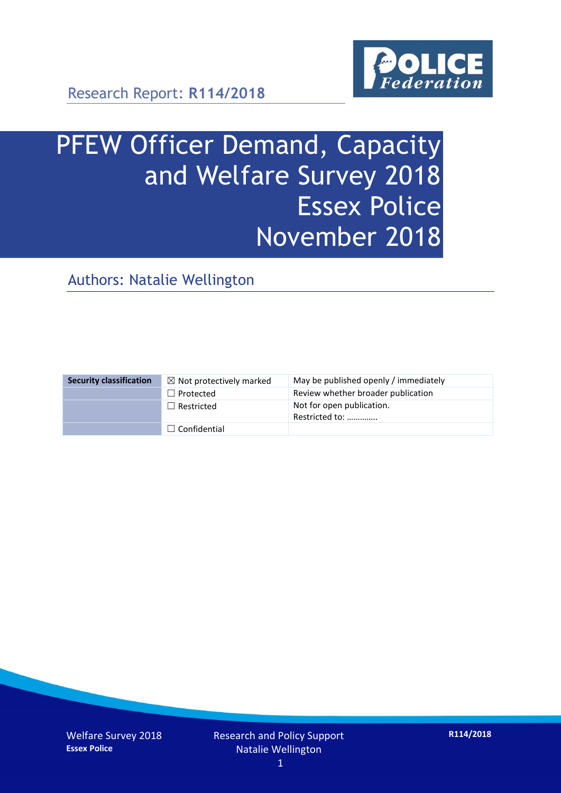

# PFEW Officer Demand, Capacity and Welfare Survey 2018 Essex Police November 2018

Authors: Natalie Wellington

| <b>Security classification</b> | $\boxtimes$ Not protectively marked | May be published openly / immediately       |
|--------------------------------|-------------------------------------|---------------------------------------------|
|                                | $\Box$ Protected                    | Review whether broader publication          |
|                                | $\Box$ Restricted                   | Not for open publication.<br>Restricted to: |
|                                | $\Box$ Confidential                 |                                             |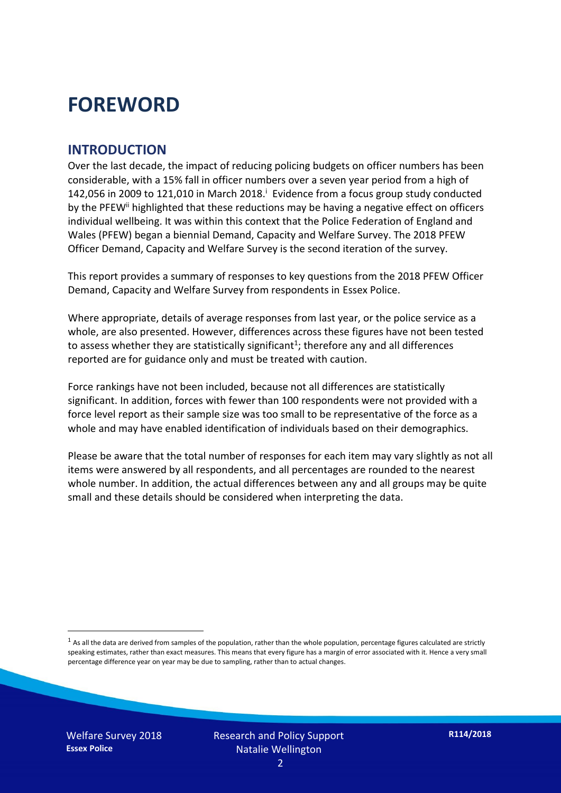### **FOREWORD**

#### **INTRODUCTION**

Over the last decade, the impact of reducing policing budgets on officer numbers has been considerable, with a 15% fall in officer numbers over a seven year period from a high of 142,056 in 2009 to 121,010 in March 2018. $^{\mathrm{i}}$  Evidence from a focus group study conducted by the PFEW<sup>ii</sup> highlighted that these reductions may be having a negative effect on officers individual wellbeing. It was within this context that the Police Federation of England and Wales (PFEW) began a biennial Demand, Capacity and Welfare Survey. The 2018 PFEW Officer Demand, Capacity and Welfare Survey is the second iteration of the survey.

This report provides a summary of responses to key questions from the 2018 PFEW Officer Demand, Capacity and Welfare Survey from respondents in Essex Police.

Where appropriate, details of average responses from last year, or the police service as a whole, are also presented. However, differences across these figures have not been tested to assess whether they are statistically significant<sup>1</sup>; therefore any and all differences reported are for guidance only and must be treated with caution.

Force rankings have not been included, because not all differences are statistically significant. In addition, forces with fewer than 100 respondents were not provided with a force level report as their sample size was too small to be representative of the force as a whole and may have enabled identification of individuals based on their demographics.

Please be aware that the total number of responses for each item may vary slightly as not all items were answered by all respondents, and all percentages are rounded to the nearest whole number. In addition, the actual differences between any and all groups may be quite small and these details should be considered when interpreting the data.

-

 $<sup>1</sup>$  As all the data are derived from samples of the population, rather than the whole population, percentage figures calculated are strictly</sup> speaking estimates, rather than exact measures. This means that every figure has a margin of error associated with it. Hence a very small percentage difference year on year may be due to sampling, rather than to actual changes.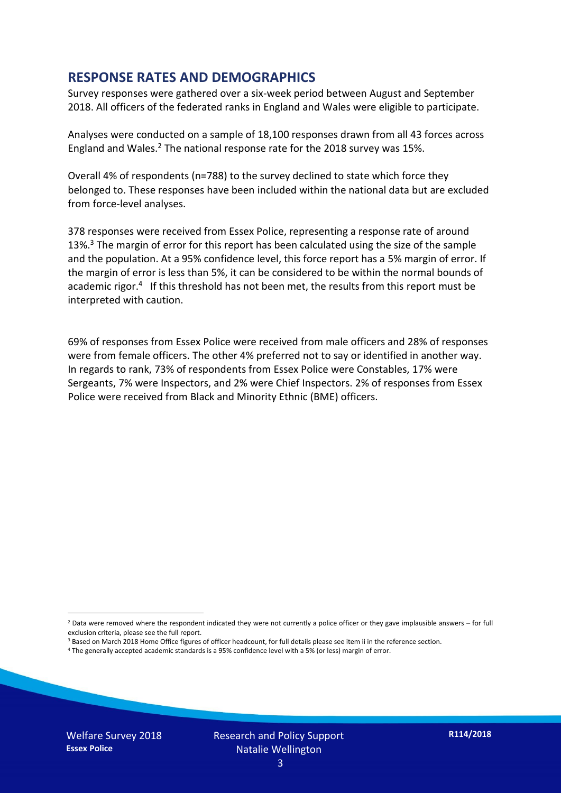#### **RESPONSE RATES AND DEMOGRAPHICS**

Survey responses were gathered over a six-week period between August and September 2018. All officers of the federated ranks in England and Wales were eligible to participate.

Analyses were conducted on a sample of 18,100 responses drawn from all 43 forces across England and Wales.<sup>2</sup> The national response rate for the 2018 survey was 15%.

Overall 4% of respondents (n=788) to the survey declined to state which force they belonged to. These responses have been included within the national data but are excluded from force-level analyses.

378 responses were received from Essex Police, representing a response rate of around 13%.<sup>3</sup> The margin of error for this report has been calculated using the size of the sample and the population. At a 95% confidence level, this force report has a 5% margin of error. If the margin of error is less than 5%, it can be considered to be within the normal bounds of academic rigor.<sup>4</sup> If this threshold has not been met, the results from this report must be interpreted with caution.

69% of responses from Essex Police were received from male officers and 28% of responses were from female officers. The other 4% preferred not to say or identified in another way. In regards to rank, 73% of respondents from Essex Police were Constables, 17% were Sergeants, 7% were Inspectors, and 2% were Chief Inspectors. 2% of responses from Essex Police were received from Black and Minority Ethnic (BME) officers.

- <sup>3</sup> Based on March 2018 Home Office figures of officer headcount, for full details please see item ii in the reference section.
- <sup>4</sup> The generally accepted academic standards is a 95% confidence level with a 5% (or less) margin of error.

-

 $2$  Data were removed where the respondent indicated they were not currently a police officer or they gave implausible answers – for full exclusion criteria, please see the full report.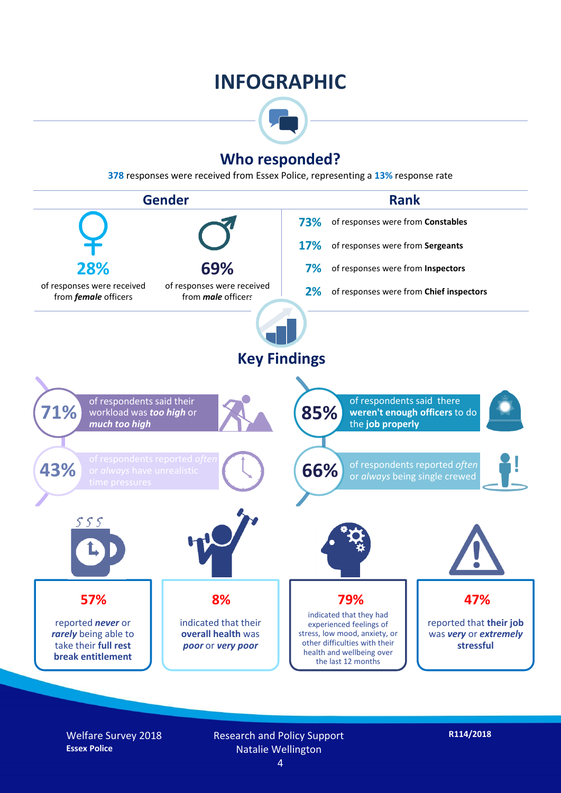### **INFOGRAPHIC**



#### **Who responded?**

**378** responses were received from Essex Police, representing a **13%** response rate



Welfare Survey 2018 **Essex Police**

Research and Policy Support Natalie Wellington

**R114/2018**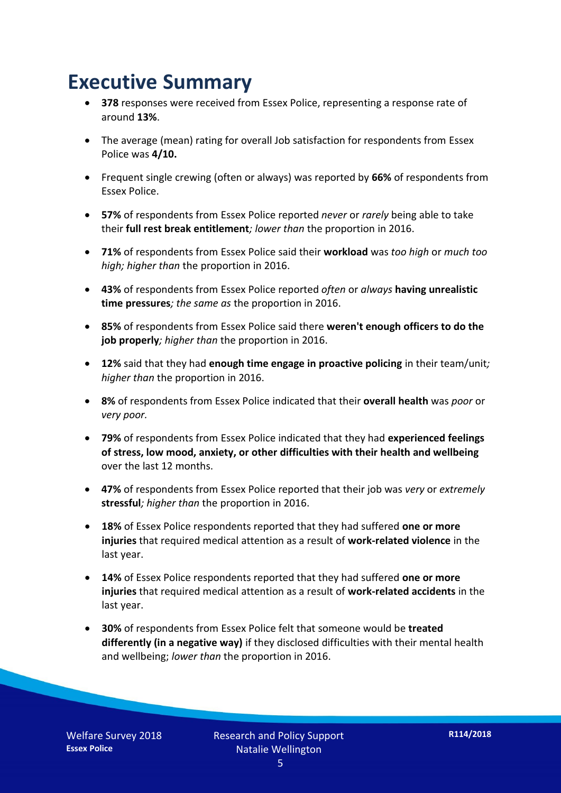### **Executive Summary**

- **378** responses were received from Essex Police, representing a response rate of around **13%**.
- The average (mean) rating for overall Job satisfaction for respondents from Essex Police was **4/10.**
- Frequent single crewing (often or always) was reported by **66%** of respondents from Essex Police.
- **57%** of respondents from Essex Police reported *never* or *rarely* being able to take their **full rest break entitlement***; lower than* the proportion in 2016.
- **71%** of respondents from Essex Police said their **workload** was *too high* or *much too high; higher than* the proportion in 2016.
- **43%** of respondents from Essex Police reported *often* or *always* **having unrealistic time pressures***; the same as* the proportion in 2016.
- **85%** of respondents from Essex Police said there **weren't enough officers to do the job properly***; higher than* the proportion in 2016.
- **12%** said that they had **enough time engage in proactive policing** in their team/unit*; higher than* the proportion in 2016.
- **8%** of respondents from Essex Police indicated that their **overall health** was *poor* or *very poor.*
- **79%** of respondents from Essex Police indicated that they had **experienced feelings of stress, low mood, anxiety, or other difficulties with their health and wellbeing** over the last 12 months.
- **47%** of respondents from Essex Police reported that their job was *very* or *extremely*  **stressful***; higher than* the proportion in 2016.
- **18%** of Essex Police respondents reported that they had suffered **one or more injuries** that required medical attention as a result of **work-related violence** in the last year.
- **14%** of Essex Police respondents reported that they had suffered **one or more injuries** that required medical attention as a result of **work-related accidents** in the last year.
- **30%** of respondents from Essex Police felt that someone would be **treated differently (in a negative way)** if they disclosed difficulties with their mental health and wellbeing; *lower than* the proportion in 2016.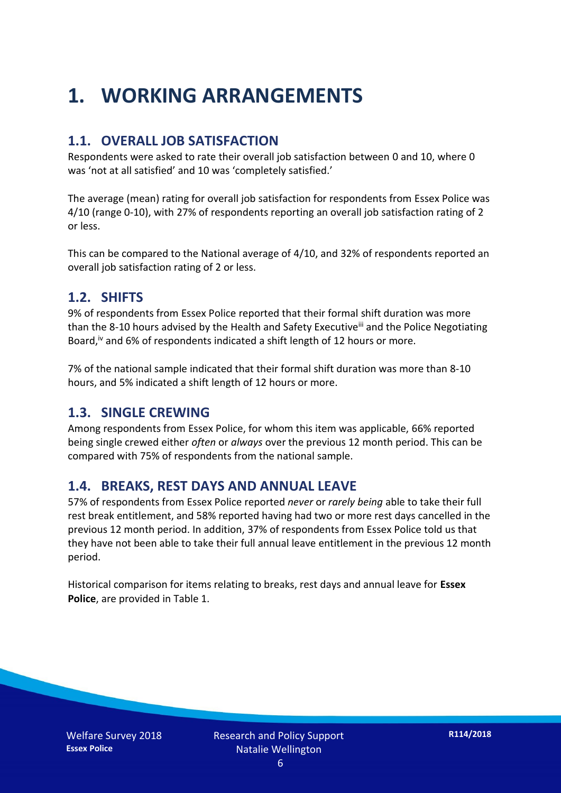## **1. WORKING ARRANGEMENTS**

#### **1.1. OVERALL JOB SATISFACTION**

Respondents were asked to rate their overall job satisfaction between 0 and 10, where 0 was 'not at all satisfied' and 10 was 'completely satisfied.'

The average (mean) rating for overall job satisfaction for respondents from Essex Police was 4/10 (range 0-10), with 27% of respondents reporting an overall job satisfaction rating of 2 or less.

This can be compared to the National average of 4/10, and 32% of respondents reported an overall job satisfaction rating of 2 or less.

#### **1.2. SHIFTS**

9% of respondents from Essex Police reported that their formal shift duration was more than the 8-10 hours advised by the Health and Safety Executive<sup>iii</sup> and the Police Negotiating Board,<sup>iv</sup> and 6% of respondents indicated a shift length of 12 hours or more.

7% of the national sample indicated that their formal shift duration was more than 8-10 hours, and 5% indicated a shift length of 12 hours or more.

#### **1.3. SINGLE CREWING**

Among respondents from Essex Police, for whom this item was applicable, 66% reported being single crewed either *often* or *always* over the previous 12 month period. This can be compared with 75% of respondents from the national sample.

#### **1.4. BREAKS, REST DAYS AND ANNUAL LEAVE**

57% of respondents from Essex Police reported *never* or *rarely being* able to take their full rest break entitlement, and 58% reported having had two or more rest days cancelled in the previous 12 month period. In addition, 37% of respondents from Essex Police told us that they have not been able to take their full annual leave entitlement in the previous 12 month period.

Historical comparison for items relating to breaks, rest days and annual leave for **Essex Police**, are provided in Table 1.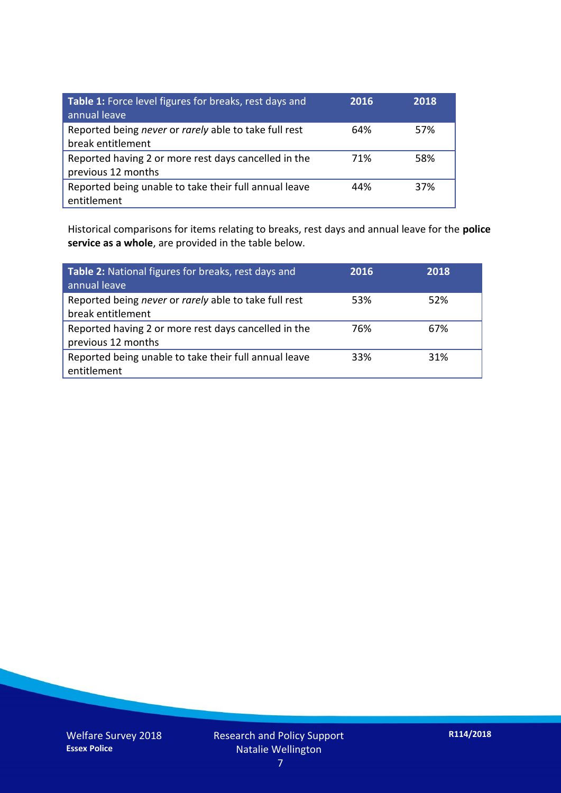| Table 1: Force level figures for breaks, rest days and<br>annual leave     | 2016 | 2018 |
|----------------------------------------------------------------------------|------|------|
| Reported being never or rarely able to take full rest<br>break entitlement | 64%  | 57%  |
| Reported having 2 or more rest days cancelled in the<br>previous 12 months | 71%  | 58%  |
| Reported being unable to take their full annual leave<br>entitlement       | 44%  | 37%  |

Historical comparisons for items relating to breaks, rest days and annual leave for the **police service as a whole**, are provided in the table below.

| Table 2: National figures for breaks, rest days and<br>annual leave        | 2016 | 2018 |
|----------------------------------------------------------------------------|------|------|
| Reported being never or rarely able to take full rest<br>break entitlement | 53%  | 52%  |
| Reported having 2 or more rest days cancelled in the<br>previous 12 months | 76%  | 67%  |
| Reported being unable to take their full annual leave<br>entitlement       | 33%  | 31%  |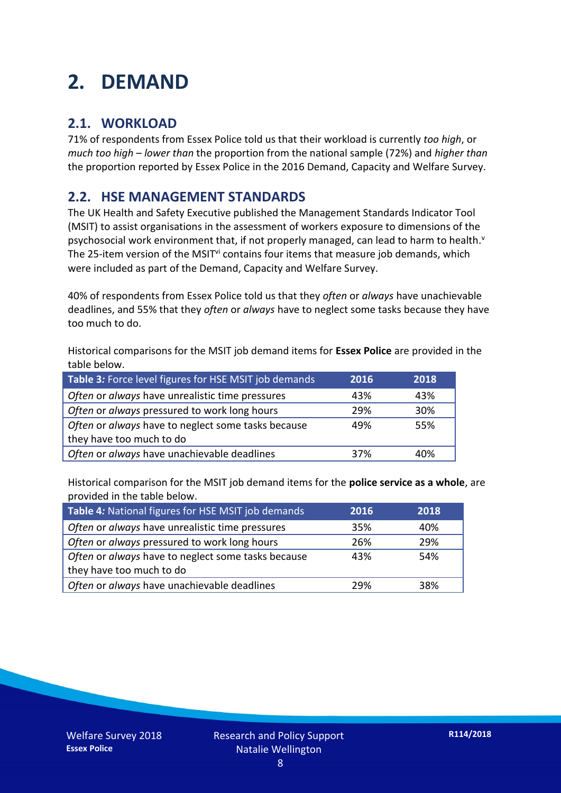### **2. DEMAND**

#### **2.1. WORKLOAD**

71% of respondents from Essex Police told us that their workload is currently *too high*, or *much too high* – *lower than* the proportion from the national sample (72%) and *higher than* the proportion reported by Essex Police in the 2016 Demand, Capacity and Welfare Survey.

#### **2.2. HSE MANAGEMENT STANDARDS**

The UK Health and Safety Executive published the Management Standards Indicator Tool (MSIT) to assist organisations in the assessment of workers exposure to dimensions of the psychosocial work environment that, if not properly managed, can lead to harm to health.<sup>v</sup> The 25-item version of the MSIT<sup>vi</sup> contains four items that measure job demands, which were included as part of the Demand, Capacity and Welfare Survey.

40% of respondents from Essex Police told us that they *often* or *always* have unachievable deadlines, and 55% that they *often* or *always* have to neglect some tasks because they have too much to do.

Historical comparisons for the MSIT job demand items for **Essex Police** are provided in the table below.

| Table 3: Force level figures for HSE MSIT job demands | 2016 | 2018 |
|-------------------------------------------------------|------|------|
| Often or always have unrealistic time pressures       | 43%  | 43%  |
| Often or always pressured to work long hours          | 29%  | 30%  |
| Often or always have to neglect some tasks because    | 49%  | 55%  |
| they have too much to do                              |      |      |
| Often or always have unachievable deadlines           | 37%  | 40%  |

Historical comparison for the MSIT job demand items for the **police service as a whole**, are provided in the table below.

| Table 4: National figures for HSE MSIT job demands | 2016 | 2018 |
|----------------------------------------------------|------|------|
| Often or always have unrealistic time pressures    | 35%  | 40%  |
| Often or always pressured to work long hours       | 26%  | 29%  |
| Often or always have to neglect some tasks because | 43%  | 54%  |
| they have too much to do                           |      |      |
| Often or always have unachievable deadlines        | 29%  | 38%  |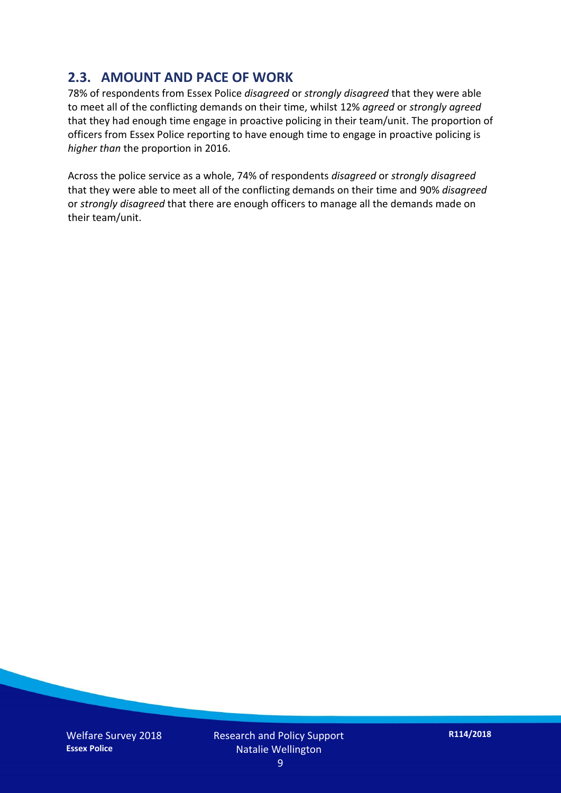#### **2.3. AMOUNT AND PACE OF WORK**

78% of respondents from Essex Police *disagreed* or *strongly disagreed* that they were able to meet all of the conflicting demands on their time, whilst 12% *agreed* or *strongly agreed* that they had enough time engage in proactive policing in their team/unit. The proportion of officers from Essex Police reporting to have enough time to engage in proactive policing is *higher than* the proportion in 2016.

Across the police service as a whole, 74% of respondents *disagreed* or *strongly disagreed* that they were able to meet all of the conflicting demands on their time and 90% *disagreed* or *strongly disagreed* that there are enough officers to manage all the demands made on their team/unit.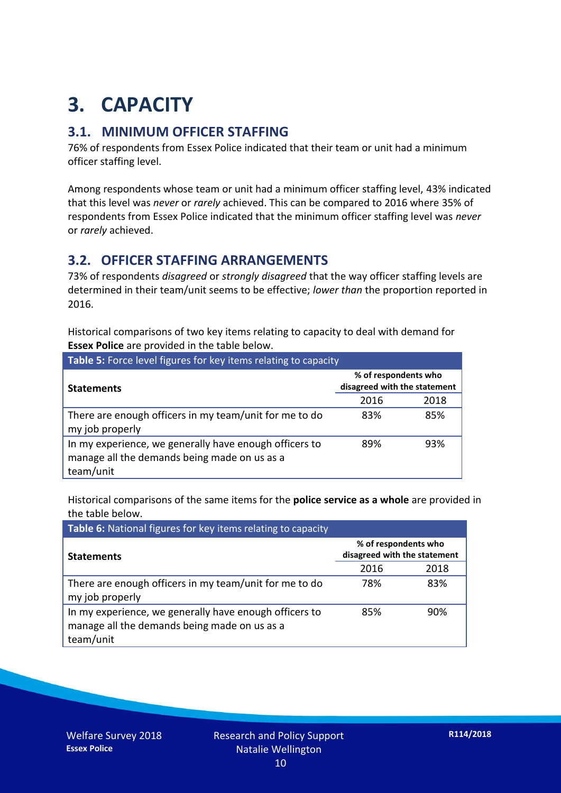## **3. CAPACITY**

#### **3.1. MINIMUM OFFICER STAFFING**

76% of respondents from Essex Police indicated that their team or unit had a minimum officer staffing level.

Among respondents whose team or unit had a minimum officer staffing level, 43% indicated that this level was *never* or *rarely* achieved. This can be compared to 2016 where 35% of respondents from Essex Police indicated that the minimum officer staffing level was *never* or *rarely* achieved.

#### **3.2. OFFICER STAFFING ARRANGEMENTS**

73% of respondents *disagreed* or *strongly disagreed* that the way officer staffing levels are determined in their team/unit seems to be effective; *lower than* the proportion reported in 2016.

Historical comparisons of two key items relating to capacity to deal with demand for **Essex Police** are provided in the table below.

| Table 5: Force level figures for key items relating to capacity                                                     |                                                      |      |  |
|---------------------------------------------------------------------------------------------------------------------|------------------------------------------------------|------|--|
| <b>Statements</b>                                                                                                   | % of respondents who<br>disagreed with the statement |      |  |
|                                                                                                                     | 2016                                                 | 2018 |  |
| There are enough officers in my team/unit for me to do<br>my job properly                                           | 83%                                                  | 85%  |  |
| In my experience, we generally have enough officers to<br>manage all the demands being made on us as a<br>team/unit | 89%                                                  | 93%  |  |

Historical comparisons of the same items for the **police service as a whole** are provided in the table below.

| Table 6: National figures for key items relating to capacity                                                        |                                                      |      |  |  |
|---------------------------------------------------------------------------------------------------------------------|------------------------------------------------------|------|--|--|
| <b>Statements</b>                                                                                                   | % of respondents who<br>disagreed with the statement |      |  |  |
|                                                                                                                     | 2016                                                 | 2018 |  |  |
| There are enough officers in my team/unit for me to do<br>my job properly                                           | 78%                                                  | 83%  |  |  |
| In my experience, we generally have enough officers to<br>manage all the demands being made on us as a<br>team/unit | 85%                                                  | 90%  |  |  |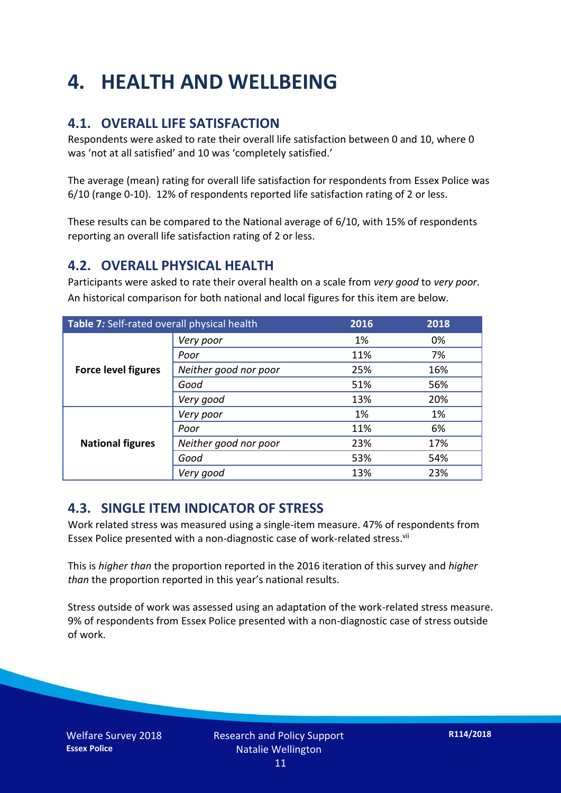## **4. HEALTH AND WELLBEING**

#### **4.1. OVERALL LIFE SATISFACTION**

Respondents were asked to rate their overall life satisfaction between 0 and 10, where 0 was 'not at all satisfied' and 10 was 'completely satisfied.'

The average (mean) rating for overall life satisfaction for respondents from Essex Police was 6/10 (range 0-10). 12% of respondents reported life satisfaction rating of 2 or less.

These results can be compared to the National average of 6/10, with 15% of respondents reporting an overall life satisfaction rating of 2 or less.

#### **4.2. OVERALL PHYSICAL HEALTH**

Participants were asked to rate their overal health on a scale from *very good* to *very poor*. An historical comparison for both national and local figures for this item are below.

| Table 7: Self-rated overall physical health |                       | 2016 | 2018 |
|---------------------------------------------|-----------------------|------|------|
|                                             | Very poor             | 1%   | 0%   |
| <b>Force level figures</b>                  | Poor                  | 11%  | 7%   |
|                                             | Neither good nor poor | 25%  | 16%  |
|                                             | Good                  | 51%  | 56%  |
|                                             | Very good             | 13%  | 20%  |
| <b>National figures</b>                     | Very poor             | 1%   | 1%   |
|                                             | Poor                  | 11%  | 6%   |
|                                             | Neither good nor poor | 23%  | 17%  |
|                                             | Good                  | 53%  | 54%  |
|                                             | Very good             | 13%  | 23%  |

#### **4.3. SINGLE ITEM INDICATOR OF STRESS**

Work related stress was measured using a single-item measure. 47% of respondents from Essex Police presented with a non-diagnostic case of work-related stress.<sup>vii</sup>

This is *higher than* the proportion reported in the 2016 iteration of this survey and *higher than* the proportion reported in this year's national results.

Stress outside of work was assessed using an adaptation of the work-related stress measure. 9% of respondents from Essex Police presented with a non-diagnostic case of stress outside of work.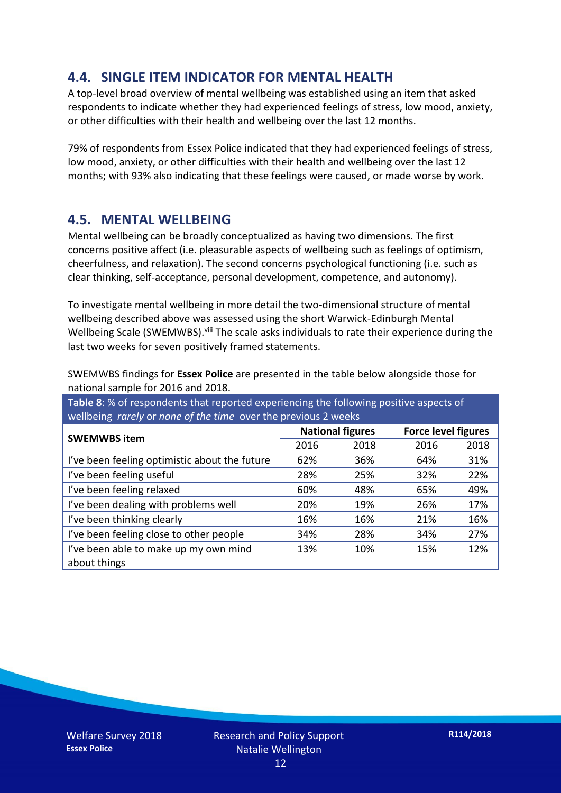#### **4.4. SINGLE ITEM INDICATOR FOR MENTAL HEALTH**

A top-level broad overview of mental wellbeing was established using an item that asked respondents to indicate whether they had experienced feelings of stress, low mood, anxiety, or other difficulties with their health and wellbeing over the last 12 months.

79% of respondents from Essex Police indicated that they had experienced feelings of stress, low mood, anxiety, or other difficulties with their health and wellbeing over the last 12 months; with 93% also indicating that these feelings were caused, or made worse by work.

#### **4.5. MENTAL WELLBEING**

Mental wellbeing can be broadly conceptualized as having two dimensions. The first concerns positive affect (i.e. pleasurable aspects of wellbeing such as feelings of optimism, cheerfulness, and relaxation). The second concerns psychological functioning (i.e. such as clear thinking, self-acceptance, personal development, competence, and autonomy).

To investigate mental wellbeing in more detail the two-dimensional structure of mental wellbeing described above was assessed using the short Warwick-Edinburgh Mental Wellbeing Scale (SWEMWBS). viii The scale asks individuals to rate their experience during the last two weeks for seven positively framed statements.

SWEMWBS findings for **Essex Police** are presented in the table below alongside those for national sample for 2016 and 2018.

**Table 8**: % of respondents that reported experiencing the following positive aspects of wellbeing *rarely* or *none of the time* over the previous 2 weeks

| <b>SWEMWBS item</b>                                   | <b>National figures</b> |      | <b>Force level figures</b> |      |
|-------------------------------------------------------|-------------------------|------|----------------------------|------|
|                                                       | 2016                    | 2018 | 2016                       | 2018 |
| I've been feeling optimistic about the future         | 62%                     | 36%  | 64%                        | 31%  |
| I've been feeling useful                              | 28%                     | 25%  | 32%                        | 22%  |
| I've been feeling relaxed                             | 60%                     | 48%  | 65%                        | 49%  |
| I've been dealing with problems well                  | 20%                     | 19%  | 26%                        | 17%  |
| I've been thinking clearly                            | 16%                     | 16%  | 21%                        | 16%  |
| I've been feeling close to other people               | 34%                     | 28%  | 34%                        | 27%  |
| I've been able to make up my own mind<br>about things | 13%                     | 10%  | 15%                        | 12%  |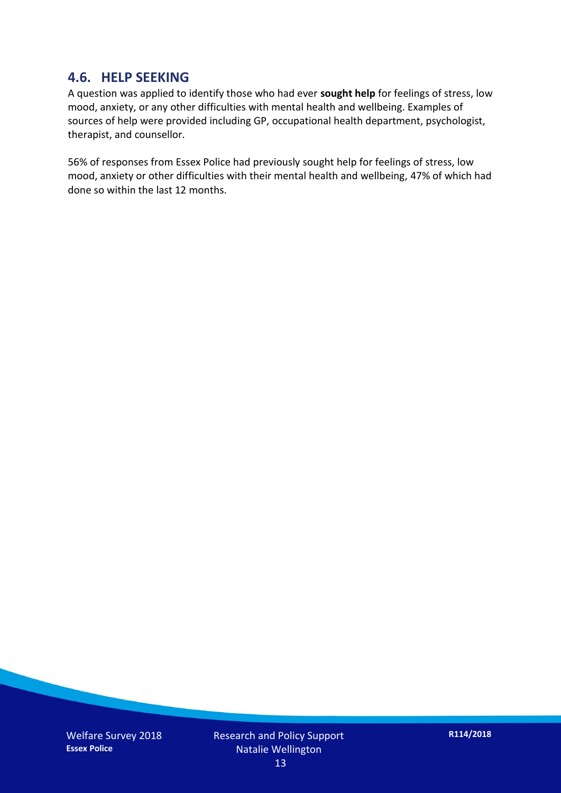#### **4.6. HELP SEEKING**

A question was applied to identify those who had ever **sought help** for feelings of stress, low mood, anxiety, or any other difficulties with mental health and wellbeing. Examples of sources of help were provided including GP, occupational health department, psychologist, therapist, and counsellor.

56% of responses from Essex Police had previously sought help for feelings of stress, low mood, anxiety or other difficulties with their mental health and wellbeing, 47% of which had done so within the last 12 months.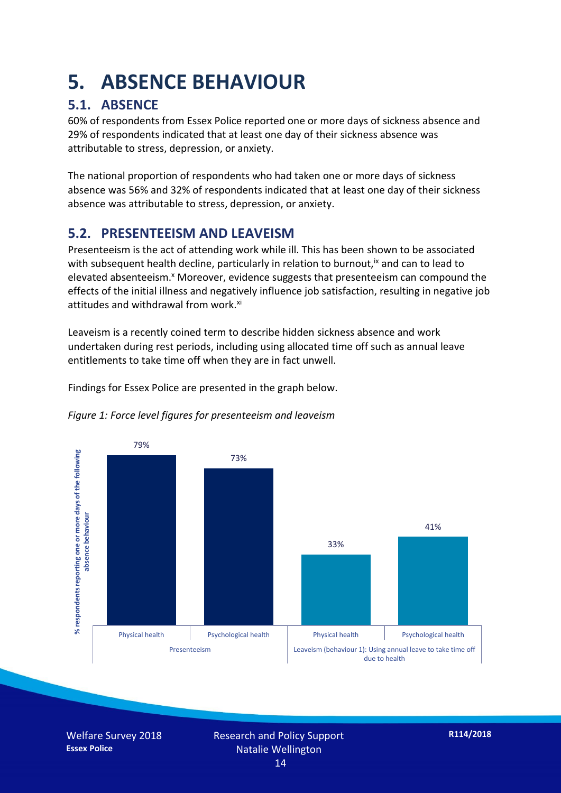### **5. ABSENCE BEHAVIOUR**

#### **5.1. ABSENCE**

60% of respondents from Essex Police reported one or more days of sickness absence and 29% of respondents indicated that at least one day of their sickness absence was attributable to stress, depression, or anxiety.

The national proportion of respondents who had taken one or more days of sickness absence was 56% and 32% of respondents indicated that at least one day of their sickness absence was attributable to stress, depression, or anxiety.

#### **5.2. PRESENTEEISM AND LEAVEISM**

Presenteeism is the act of attending work while ill. This has been shown to be associated with subsequent health decline, particularly in relation to burnout,  $\alpha$  and can to lead to elevated absenteeism.<sup>x</sup> Moreover, evidence suggests that presenteeism can compound the effects of the initial illness and negatively influence job satisfaction, resulting in negative job attitudes and withdrawal from work.<sup>xi</sup>

Leaveism is a recently coined term to describe hidden sickness absence and work undertaken during rest periods, including using allocated time off such as annual leave entitlements to take time off when they are in fact unwell.

Findings for Essex Police are presented in the graph below.





Welfare Survey 2018 **Essex Police**

Research and Policy Support Natalie Wellington 14

**R114/2018**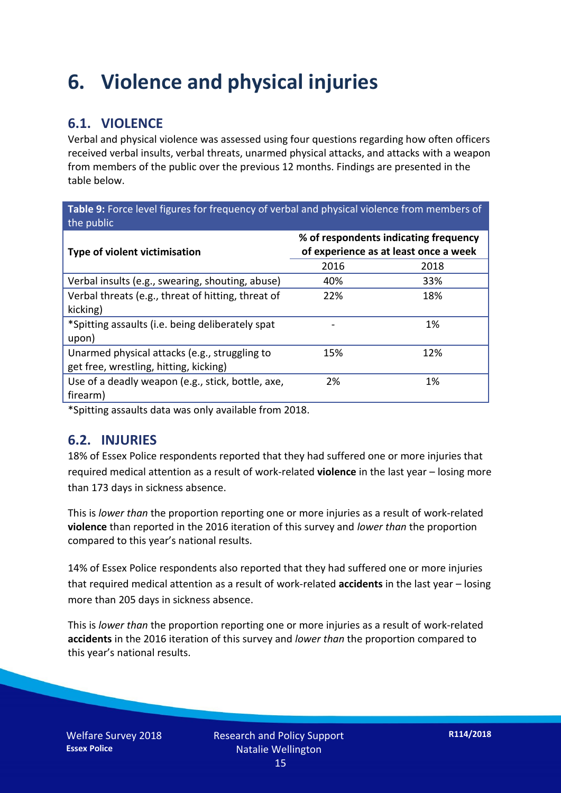### **6. Violence and physical injuries**

#### **6.1. VIOLENCE**

Verbal and physical violence was assessed using four questions regarding how often officers received verbal insults, verbal threats, unarmed physical attacks, and attacks with a weapon from members of the public over the previous 12 months. Findings are presented in the table below.

**Table 9:** Force level figures for frequency of verbal and physical violence from members of the public

| Type of violent victimisation                      | % of respondents indicating frequency<br>of experience as at least once a week |      |  |
|----------------------------------------------------|--------------------------------------------------------------------------------|------|--|
|                                                    | 2016                                                                           | 2018 |  |
| Verbal insults (e.g., swearing, shouting, abuse)   | 40%                                                                            | 33%  |  |
| Verbal threats (e.g., threat of hitting, threat of | 22%                                                                            | 18%  |  |
| kicking)                                           |                                                                                |      |  |
| *Spitting assaults (i.e. being deliberately spat   |                                                                                | 1%   |  |
| upon)                                              |                                                                                |      |  |
| Unarmed physical attacks (e.g., struggling to      | 15%                                                                            | 12%  |  |
| get free, wrestling, hitting, kicking)             |                                                                                |      |  |
| Use of a deadly weapon (e.g., stick, bottle, axe,  | 2%                                                                             | 1%   |  |
| firearm)                                           |                                                                                |      |  |

\*Spitting assaults data was only available from 2018.

#### **6.2. INJURIES**

18% of Essex Police respondents reported that they had suffered one or more injuries that required medical attention as a result of work-related **violence** in the last year – losing more than 173 days in sickness absence.

This is *lower than* the proportion reporting one or more injuries as a result of work-related **violence** than reported in the 2016 iteration of this survey and *lower than* the proportion compared to this year's national results.

14% of Essex Police respondents also reported that they had suffered one or more injuries that required medical attention as a result of work-related **accidents** in the last year – losing more than 205 days in sickness absence.

This is *lower than* the proportion reporting one or more injuries as a result of work-related **accidents** in the 2016 iteration of this survey and *lower than* the proportion compared to this year's national results.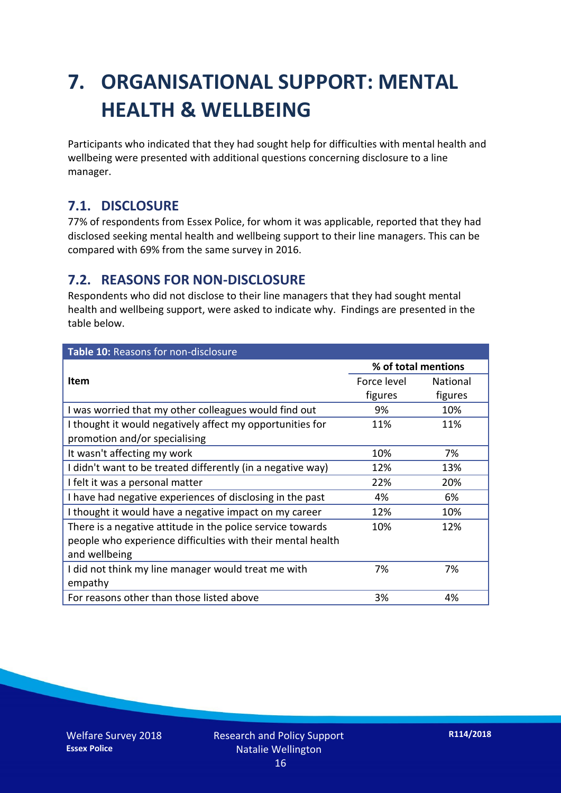## **7. ORGANISATIONAL SUPPORT: MENTAL HEALTH & WELLBEING**

Participants who indicated that they had sought help for difficulties with mental health and wellbeing were presented with additional questions concerning disclosure to a line manager.

#### **7.1. DISCLOSURE**

77% of respondents from Essex Police, for whom it was applicable, reported that they had disclosed seeking mental health and wellbeing support to their line managers. This can be compared with 69% from the same survey in 2016.

#### **7.2. REASONS FOR NON-DISCLOSURE**

Respondents who did not disclose to their line managers that they had sought mental health and wellbeing support, were asked to indicate why. Findings are presented in the table below.

| Table 10: Reasons for non-disclosure                        |                     |                 |
|-------------------------------------------------------------|---------------------|-----------------|
|                                                             | % of total mentions |                 |
| Item                                                        | Force level         | <b>National</b> |
|                                                             | figures             | figures         |
| I was worried that my other colleagues would find out       | 9%                  | 10%             |
| I thought it would negatively affect my opportunities for   | 11%                 | 11%             |
| promotion and/or specialising                               |                     |                 |
| It wasn't affecting my work                                 | 10%                 | 7%              |
| I didn't want to be treated differently (in a negative way) | 12%                 | 13%             |
| I felt it was a personal matter                             | 22%                 | 20%             |
| I have had negative experiences of disclosing in the past   | 4%                  | 6%              |
| I thought it would have a negative impact on my career      | 12%                 | 10%             |
| There is a negative attitude in the police service towards  | 10%                 | 12%             |
| people who experience difficulties with their mental health |                     |                 |
| and wellbeing                                               |                     |                 |
| I did not think my line manager would treat me with         | 7%                  | 7%              |
| empathy                                                     |                     |                 |
| For reasons other than those listed above                   | 3%                  | 4%              |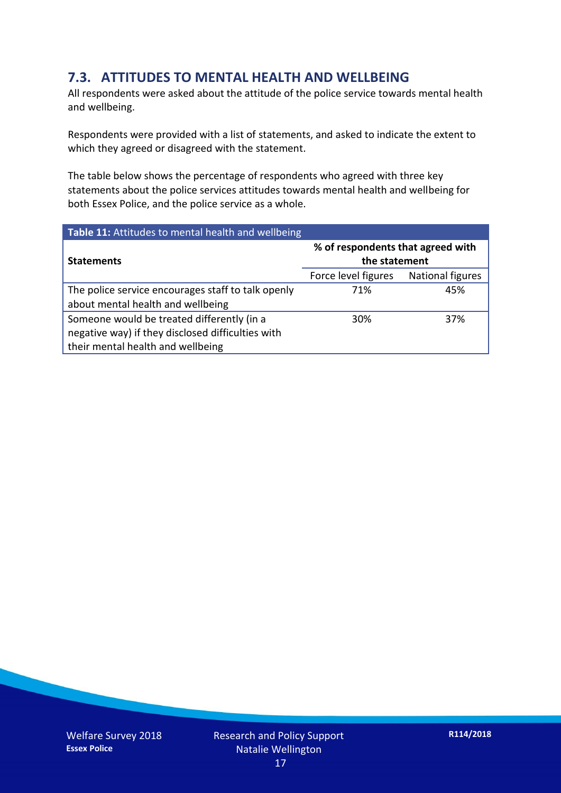#### **7.3. ATTITUDES TO MENTAL HEALTH AND WELLBEING**

All respondents were asked about the attitude of the police service towards mental health and wellbeing.

Respondents were provided with a list of statements, and asked to indicate the extent to which they agreed or disagreed with the statement.

The table below shows the percentage of respondents who agreed with three key statements about the police services attitudes towards mental health and wellbeing for both Essex Police, and the police service as a whole.

| Table 11: Attitudes to mental health and wellbeing |                                                    |                         |  |
|----------------------------------------------------|----------------------------------------------------|-------------------------|--|
| <b>Statements</b>                                  | % of respondents that agreed with<br>the statement |                         |  |
|                                                    | Force level figures                                | <b>National figures</b> |  |
| The police service encourages staff to talk openly | 71%                                                | 45%                     |  |
| about mental health and wellbeing                  |                                                    |                         |  |
| Someone would be treated differently (in a         | 30%                                                | 37%                     |  |
| negative way) if they disclosed difficulties with  |                                                    |                         |  |
| their mental health and wellbeing                  |                                                    |                         |  |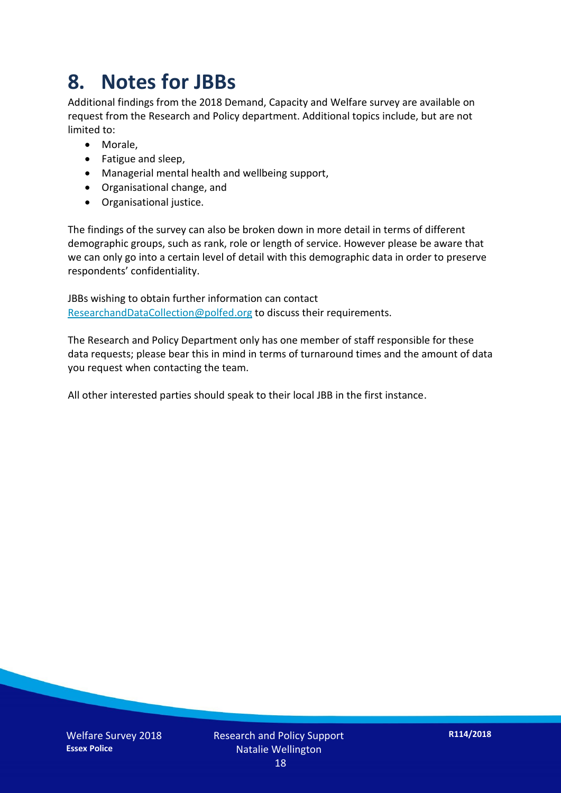### **8. Notes for JBBs**

Additional findings from the 2018 Demand, Capacity and Welfare survey are available on request from the Research and Policy department. Additional topics include, but are not limited to:

- Morale,
- Fatigue and sleep,
- Managerial mental health and wellbeing support,
- Organisational change, and
- Organisational justice.

The findings of the survey can also be broken down in more detail in terms of different demographic groups, such as rank, role or length of service. However please be aware that we can only go into a certain level of detail with this demographic data in order to preserve respondents' confidentiality.

JBBs wishing to obtain further information can contact [ResearchandDataCollection@polfed.org](mailto:ResearchandDataCollection@polfed.org) to discuss their requirements.

The Research and Policy Department only has one member of staff responsible for these data requests; please bear this in mind in terms of turnaround times and the amount of data you request when contacting the team.

All other interested parties should speak to their local JBB in the first instance.